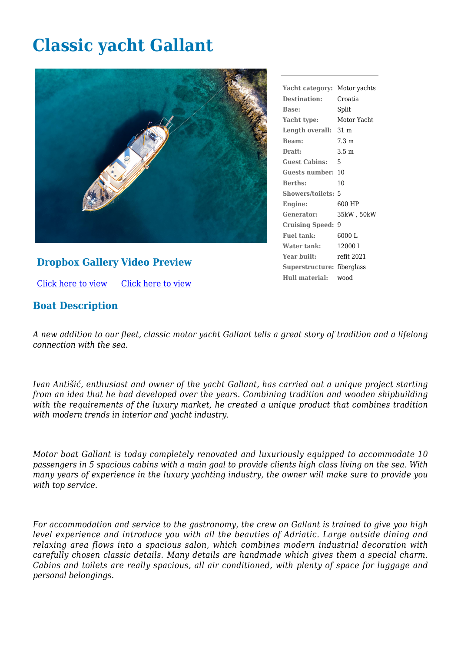## **Classic yacht Gallant**



## **Dropbox Gallery Video Preview**

[Click here to view](https://www.dropbox.com/sh/abffno72pjt6nbv/AACH6MKy_yL1sBUay9VpTQD7a?dl=0) [Click here to view](https://youtu.be/b-84GMATU10)

## **Boat Description**

**Yacht category:** Motor yachts **Destination:** Croatia **Base:** Split **Yacht type:** Motor Yacht **Length overall:** 31 m **Beam:** 7.3 m **Draft:** 3.5 m **Guest Cabins:** 5 **Guests number:** 10 **Berths:** 10 **Showers/toilets:** 5 **Engine:** 600 HP **Generator:** 35kW , 50kW **Cruising Speed:** 9 **Fuel tank:** 6000 L **Water tank:** 12000 l **Year built:** refit 2021 **Superstructure:** fiberglass **Hull material:** wood

*A new addition to our fleet, classic motor yacht Gallant tells a great story of tradition and a lifelong connection with the sea.*

*Ivan Antišić, enthusiast and owner of the yacht Gallant, has carried out a unique project starting from an idea that he had developed over the years. Combining tradition and wooden shipbuilding with the requirements of the luxury market, he created a unique product that combines tradition with modern trends in interior and yacht industry.*

*Motor boat Gallant is today completely renovated and luxuriously equipped to accommodate 10 passengers in 5 spacious cabins with a main goal to provide clients high class living on the sea. With many years of experience in the luxury yachting industry, the owner will make sure to provide you with top service.*

*For accommodation and service to the gastronomy, the crew on Gallant is trained to give you high level experience and introduce you with all the beauties of Adriatic. Large outside dining and relaxing area flows into a spacious salon, which combines modern industrial decoration with carefully chosen classic details. Many details are handmade which gives them a special charm. Cabins and toilets are really spacious, all air conditioned, with plenty of space for luggage and personal belongings.*